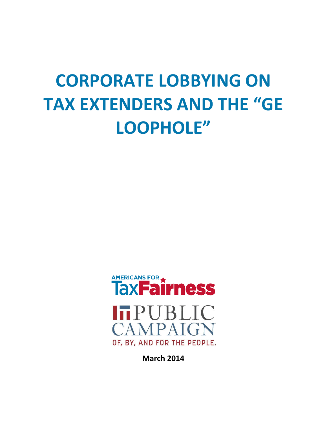# **CORPORATE LOBBYING ON TAX EXTENDERS AND THE "GE LOOPHOLE"**



**March 2014**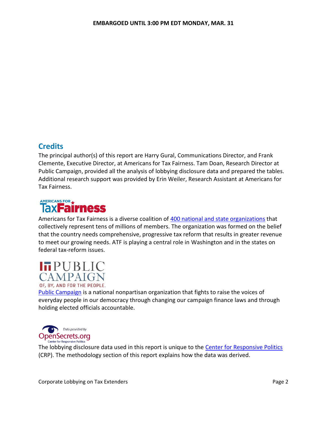# **Credits**

The principal author(s) of this report are Harry Gural, Communications Director, and Frank Clemente, Executive Director, at Americans for Tax Fairness. Tam Doan, Research Director at Public Campaign, provided all the analysis of lobbying disclosure data and prepared the tables. Additional research support was provided by Erin Weiler, Research Assistant at Americans for Tax Fairness.



Americans for Tax Fairness is a diverse coalition of [400 national and state organizations](http://bit.ly/14jS5AC) that collectively represent tens of millions of members. The organization was formed on the belief that the country needs comprehensive, progressive tax reform that results in greater revenue to meet our growing needs. ATF is playing a central role in Washington and in the states on federal tax-reform issues.

# **ITPUBLIC CAMPAIGN**

OF, BY, AND FOR THE PEOPLE. [Public Campaign](http://www.publiccampaign.org/) is a national nonpartisan organization that fights to raise the voices of everyday people in our democracy through changing our campaign finance laws and through holding elected officials accountable.



The lobbying disclosure data used in this report is unique to the [Center for Responsive Politics](http://www.opensecrets.org/revolving/rev_summary.php?id=30923) (CRP). The methodology section of this report explains how the data was derived.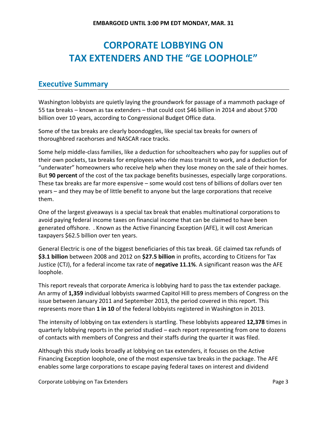# **CORPORATE LOBBYING ON TAX EXTENDERS AND THE "GE LOOPHOLE"**

## **Executive Summary**

Washington lobbyists are quietly laying the groundwork for passage of a mammoth package of 55 tax breaks – known as tax extenders – that could cost \$46 billion in 2014 and about \$700 billion over 10 years, according to Congressional Budget Office data.

Some of the tax breaks are clearly boondoggles, like special tax breaks for owners of thoroughbred racehorses and NASCAR race tracks.

Some help middle-class families, like a deduction for schoolteachers who pay for supplies out of their own pockets, tax breaks for employees who ride mass transit to work, and a deduction for "underwater" homeowners who receive help when they lose money on the sale of their homes. But **90 percent** of the cost of the tax package benefits businesses, especially large corporations. These tax breaks are far more expensive – some would cost tens of billions of dollars over ten years – and they may be of little benefit to anyone but the large corporations that receive them.

One of the largest giveaways is a special tax break that enables multinational corporations to avoid paying federal income taxes on financial income that can be claimed to have been generated offshore. . Known as the Active Financing Exception (AFE), it will cost American taxpayers \$62.5 billion over ten years.

General Electric is one of the biggest beneficiaries of this tax break. GE claimed tax refunds of **\$3.1 billion** between 2008 and 2012 on **\$27.5 billion** in profits, according to Citizens for Tax Justice (CTJ), for a federal income tax rate of **negative 11.1%**. A significant reason was the AFE loophole.

This report reveals that corporate America is lobbying hard to pass the tax extender package. An army of **1,359** individual lobbyists swarmed Capitol Hill to press members of Congress on the issue between January 2011 and September 2013, the period covered in this report. This represents more than **1 in 10** of the federal lobbyists registered in Washington in 2013.

The intensity of lobbying on tax extenders is startling. These lobbyists appeared **12,378** times in quarterly lobbying reports in the period studied – each report representing from one to dozens of contacts with members of Congress and their staffs during the quarter it was filed.

Although this study looks broadly at lobbying on tax extenders, it focuses on the Active Financing Exception loophole, one of the most expensive tax breaks in the package. The AFE enables some large corporations to escape paying federal taxes on interest and dividend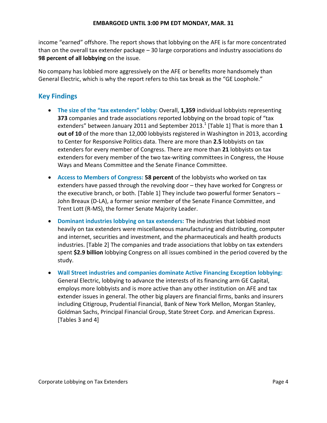income "earned" offshore. The report shows that lobbying on the AFE is far more concentrated than on the overall tax extender package – 30 large corporations and industry associations do **98 percent of all lobbying** on the issue.

No company has lobbied more aggressively on the AFE or benefits more handsomely than General Electric, which is why the report refers to this tax break as the "GE Loophole."

# **Key Findings**

- **The size of the "tax extenders" lobby:** Overall, **1,359** individual lobbyists representing **373** companies and trade associations reported lobbying on the broad topic of "tax extenders" between January 2011 and September 2013.<sup>1</sup> [Table 1] That is more than **1 out of 10** of the more than 12,000 lobbyists registered in Washington in 2013, according to Center for Responsive Politics data. There are more than **2.5** lobbyists on tax extenders for every member of Congress. There are more than **21** lobbyists on tax extenders for every member of the two tax-writing committees in Congress, the House Ways and Means Committee and the Senate Finance Committee.
- **Access to Members of Congress: 58 percent** of the lobbyists who worked on tax extenders have passed through the revolving door – they have worked for Congress or the executive branch, or both. [Table 1] They include two powerful former Senators – John Breaux (D-LA), a former senior member of the Senate Finance Committee, and Trent Lott (R-MS), the former Senate Majority Leader.
- **Dominant industries lobbying on tax extenders:** The industries that lobbied most heavily on tax extenders were miscellaneous manufacturing and distributing, computer and internet, securities and investment, and the pharmaceuticals and health products industries. [Table 2] The companies and trade associations that lobby on tax extenders spent **\$2.9 billion** lobbying Congress on all issues combined in the period covered by the study.
- **Wall Street industries and companies dominate Active Financing Exception lobbying:** General Electric, lobbying to advance the interests of its financing arm GE Capital, employs more lobbyists and is more active than any other institution on AFE and tax extender issues in general. The other big players are financial firms, banks and insurers including Citigroup, Prudential Financial, Bank of New York Mellon, Morgan Stanley, Goldman Sachs, Principal Financial Group, State Street Corp. and American Express. [Tables 3 and 4]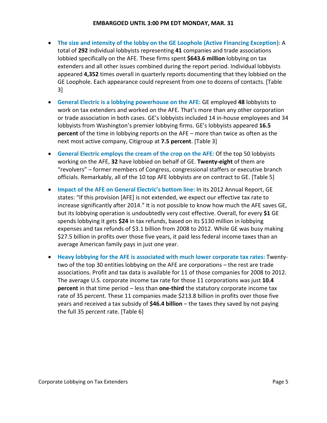- **The size and intensity of the lobby on the GE Loophole (Active Financing Exception):** A total of **292** individual lobbyists representing **41** companies and trade associations lobbied specifically on the AFE. These firms spent **\$643.6 million** lobbying on tax extenders and all other issues combined during the report period. Individual lobbyists appeared **4,352** times overall in quarterly reports documenting that they lobbied on the GE Loophole. Each appearance could represent from one to dozens of contacts. [Table 3]
- **General Electric is a lobbying powerhouse on the AFE:** GE employed **48** lobbyists to work on tax extenders and worked on the AFE. That's more than any other corporation or trade association in both cases. GE's lobbyists included 14 in-house employees and 34 lobbyists from Washington's premier lobbying firms. GE's lobbyists appeared **16.5 percent** of the time in lobbying reports on the AFE – more than twice as often as the next most active company, Citigroup at **7.5 percent**. [Table 3]
- **General Electric employs the cream of the crop on the AFE:** Of the top 50 lobbyists working on the AFE, **32** have lobbied on behalf of GE. **Twenty-eight** of them are "revolvers" – former members of Congress, congressional staffers or executive branch officials. Remarkably, all of the 10 top AFE lobbyists are on contract to GE. [Table 5]
- **Impact of the AFE on General Electric's bottom line:** In its 2012 Annual Report, GE states: "If this provision [AFE] is not extended, we expect our effective tax rate to increase significantly after 2014." It is not possible to know how much the AFE saves GE, but its lobbying operation is undoubtedly very cost effective. Overall, for every **\$1** GE spends lobbying it gets **\$24** in tax refunds, based on its \$130 million in lobbying expenses and tax refunds of \$3.1 billion from 2008 to 2012. While GE was busy making \$27.5 billion in profits over those five years, it paid less federal income taxes than an average American family pays in just one year.
- **Heavy lobbying for the AFE is associated with much lower corporate tax rates:** Twentytwo of the top 30 entities lobbying on the AFE are corporations – the rest are trade associations. Profit and tax data is available for 11 of those companies for 2008 to 2012. The average U.S. corporate income tax rate for those 11 corporations was just **10.4 percent** in that time period – less than **one-third** the statutory corporate income tax rate of 35 percent. These 11 companies made \$213.8 billion in profits over those five years and received a tax subsidy of **\$46.4 billion** – the taxes they saved by not paying the full 35 percent rate. [Table 6]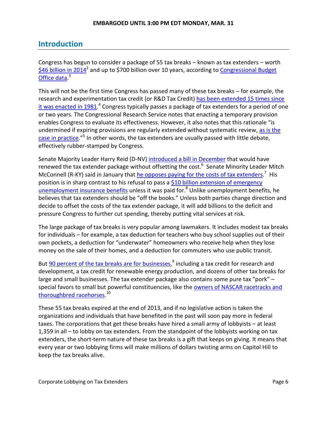# **Introduction**

Congress has begun to consider a package of 55 tax breaks – known as tax extenders – worth  $$46$  billion in 2014<sup>2</sup> and up to \$700 billion over 10 years, according to Congressional Budget [Office](http://www.americansfortaxfairness.org/files/CBO-Costs-of-Extending-Tax-Provisions-Set-to-Expire-Before-2024-Table-7-by-ATF-FINAL1.xlsx) data.<sup>3</sup>

This will not be the first time Congress has passed many of these tax breaks – for example, the research and experimentation tax credit (or R&D Tax Credit) has been extended 15 times since [it was enacted in 1981.](http://www.fas.org/sgp/crs/misc/R43124.pdf)<sup>4</sup> Congress typically passes a package of tax extenders for a period of one or two years. The Congressional Research Service notes that enacting a temporary provision enables Congress to evaluate its effectiveness. However, it also notes that this rationale "is undermined if expiring provisions are regularly extended without systematic review, as is the [case in practice](http://bit.ly/1m4tyGA)."<sup>5</sup> In other words, the tax extenders are usually passed with little debate, effectively rubber-stamped by Congress.

Senate Majority Leader Harry Reid (D-NV) [introduced a bill](http://thomas.loc.gov/cgi-bin/bdquery/z?d113:S.1859:) in December that would have renewed the tax extender package without offsetting the cost.<sup>6</sup> Senate Minority Leader Mitch McConnell (R-KY) said in January that he opposes paying for [the costs of tax extenders.](http://www.c-span.org/video/?c4483259/mitch-mcconnell-re-new-tax-breaks)<sup>7</sup> His position is in sharp contrast to his refusal to pass a \$10 billion [extension of emergency](http://www.nytimes.com/2014/03/14/us/senate-reaches-deal-to-pay-for-jobless-aid.html)  [unemployment insurance benefits](http://www.nytimes.com/2014/03/14/us/senate-reaches-deal-to-pay-for-jobless-aid.html) unless it was paid for.<sup>8</sup> Unlike unemployment benefits, he believes that tax extenders should be "off the books." Unless both parties change direction and decide to offset the costs of the tax extender package, it will add billions to the deficit and pressure Congress to further cut spending, thereby putting vital services at risk.

The large package of tax breaks is very popular among lawmakers. It includes modest tax breaks for individuals – for example, a tax deduction for teachers who buy school supplies out of their own pockets, a deduction for "underwater" homeowners who receive help when they lose money on the sale of their homes, and a deduction for commuters who use public transit.

But **90 percent of the tax breaks are for businesses**,<sup>9</sup> including a tax credit for research and development, a tax credit for renewable energy production, and dozens of other tax breaks for large and small businesses. The tax extender package also contains some pure tax "pork" – special favors to small but powerful constituencies, like the [owners of NASCAR racetracks](http://www.americansfortaxfairness.org/files/ATF-Stretched-to-the-Limit-A-Sampling-of-Tax-Extenders-that-Should-be-Ended-FINAL-v2-4.docx) and [thoroughbred racehorses.](http://www.americansfortaxfairness.org/files/ATF-Stretched-to-the-Limit-A-Sampling-of-Tax-Extenders-that-Should-be-Ended-FINAL-v2-4.docx)<sup>10</sup>

These 55 tax breaks expired at the end of 2013, and if no legislative action is taken the organizations and individuals that have benefited in the past will soon pay more in federal taxes. The corporations that get these breaks have hired a small army of lobbyists – at least 1,359 in all – to lobby on tax extenders. From the standpoint of the lobbyists working on tax extenders, the short-term nature of these tax breaks is a gift that keeps on giving. It means that every year or two lobbying firms will make millions of dollars twisting arms on Capitol Hill to keep the tax breaks alive.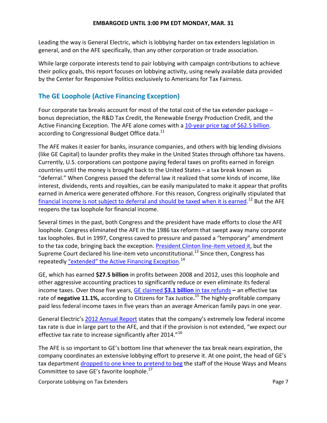Leading the way is General Electric, which is lobbying harder on tax extenders legislation in general, and on the AFE specifically, than any other corporation or trade association.

While large corporate interests tend to pair lobbying with campaign contributions to achieve their policy goals, this report focuses on lobbying activity, using newly available data provided by the Center for Responsive Politics exclusively to Americans for Tax Fairness.

### **The GE Loophole (Active Financing Exception)**

Four corporate tax breaks account for most of the total cost of the tax extender package – bonus depreciation, the R&D Tax Credit, the Renewable Energy Production Credit, and the Active Financing Exception. The AFE alone comes with a [10-year price tag of \\$62.5](http://www.americansfortaxfairness.org/files/ATF-Key-Facts-about-Tax-Extenders.doc) billion, according to Congressional Budget Office data.<sup>11</sup>

The AFE makes it easier for banks, insurance companies, and others with big lending divisions (like GE Capital) to launder profits they make in the United States through offshore tax havens. Currently, U.S. corporations can postpone paying federal taxes on profits earned in foreign countries until the money is brought back to the United States – a tax break known as "deferral." When Congress passed the deferral law it realized that some kinds of income, like interest, dividends, rents and royalties, can be easily manipulated to make it appear that profits earned in America were generated offshore. For this reason, Congress originally stipulated that [financial income is not subject to deferral and should be](http://ctj.org/ctjreports/2012/08/dont_renew_the_offshore_tax_loopholes.php#.UzjIVlfJFSC) taxed when it is earned.<sup>12</sup> But the AFE reopens the tax loophole for financial income.

Several times in the past, both Congress and the president have made efforts to close the AFE loophole. Congress eliminated the AFE in the 1986 tax reform that swept away many corporate tax loopholes. But in 1997, Congress caved to pressure and passed a "temporary" amendment to the tax code, bringing back the exception. [President Clinton line-item vetoed](http://bit.ly/OXLeZk) it, but the Supreme Court declared his line-item veto unconstitutional.<sup>13</sup> Since then, Congress has repeatedly <u>"extended" the Active Financing Exception</u>.<sup>14</sup>

GE, which has earned **\$27.5 billion** in profits between 2008 and 2012, uses this loophole and other aggressive accounting practices to significantly reduce or even eliminate its federal income taxes. Over those five years, GE claimed **\$3.1 billion** [in tax refunds](http://www.ctj.org/corporatetaxdodgers/sorrystateofcorptaxes.pdf) **–** an effective tax rate of **negative 11.1%,** according to Citizens for Tax Justice**.** <sup>15</sup> The highly-profitable company paid less federal income taxes in five years than an average American family pays in one year.

General Electric's [2012 Annual Report](http://www.ge.com/ar2012/pdf/GE_AR12.pdf) states that the company's extremely low federal income tax rate is due in large part to the AFE, and that if the provision is not extended, "we expect our effective tax rate to increase significantly after 2014."<sup>16</sup>

The AFE is so important to GE's bottom line that whenever the tax break nears expiration, the company coordinates an extensive lobbying effort to preserve it. At one point, the head of GE's tax department [dropped to one knee to pretend to beg](http://www.nytimes.com/2011/03/25/business/economy/25tax.html?_r=1&) the staff of the House Ways and Means Committee to save GE's favorite loophole.<sup>17</sup>

Corporate Lobbying on Tax Extenders **Page 7** and 2008 and 2011 and 2012 and 2013 and 2013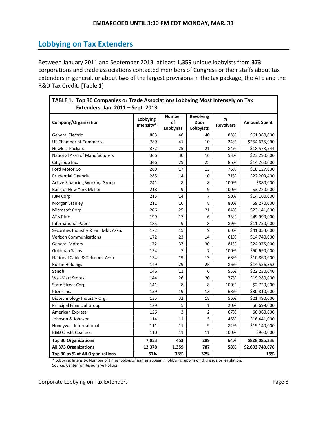# **Lobbying on Tax Extenders**

Between January 2011 and September 2013, at least **1,359** unique lobbyists from **373** corporations and trade associations contacted members of Congress or their staffs about tax extenders in general, or about two of the largest provisions in the tax package, the AFE and the R&D Tax Credit. [Table 1]

| TABLE 1. Top 30 Companies or Trade Associations Lobbying Most Intensely on Tax<br>Extenders, Jan. 2011 - Sept. 2013 |                        |                                  |                                       |                       |                     |  |  |
|---------------------------------------------------------------------------------------------------------------------|------------------------|----------------------------------|---------------------------------------|-----------------------|---------------------|--|--|
| Company/Organization                                                                                                | Lobbying<br>Intensity* | <b>Number</b><br>οf<br>Lobbyists | <b>Revolving</b><br>Door<br>Lobbyists | %<br><b>Revolvers</b> | <b>Amount Spent</b> |  |  |
| <b>General Electric</b>                                                                                             | 863                    | 48                               | 40                                    | 83%                   | \$61,380,000        |  |  |
| US Chamber of Commerce                                                                                              | 789                    | 41                               | 10                                    | 24%                   | \$254,625,000       |  |  |
| Hewlett-Packard                                                                                                     | 372                    | 25                               | 21                                    | 84%                   | \$18,578,544        |  |  |
| National Assn of Manufacturers                                                                                      | 366                    | 30                               | 16                                    | 53%                   | \$23,290,000        |  |  |
| Citigroup Inc.                                                                                                      | 346                    | 29                               | 25                                    | 86%                   | \$14,760,000        |  |  |
| Ford Motor Co                                                                                                       | 289                    | 17                               | 13                                    | 76%                   | \$18,127,000        |  |  |
| <b>Prudential Financial</b>                                                                                         | 285                    | 14                               | 10                                    | 71%                   | \$22,209,400        |  |  |
| <b>Active Financing Working Group</b>                                                                               | 241                    | 8                                | 8                                     | 100%                  | \$880,000           |  |  |
| <b>Bank of New York Mellon</b>                                                                                      | 218                    | 9                                | 9                                     | 100%                  | \$3,220,000         |  |  |
| <b>IBM Corp</b>                                                                                                     | 215                    | 14                               | 7                                     | 50%                   | \$14,160,000        |  |  |
| Morgan Stanley                                                                                                      | 211                    | 10                               | 8                                     | 80%                   | \$9,270,000         |  |  |
| Microsoft Corp                                                                                                      | 206                    | 25                               | 21                                    | 84%                   | \$23,141,000        |  |  |
| AT&T Inc.                                                                                                           | 199                    | 17                               | 6                                     | 35%                   | \$49,990,000        |  |  |
| <b>International Paper</b>                                                                                          | 185                    | 9                                | 8                                     | 89%                   | \$11,750,000        |  |  |
| Securities Industry & Fin. Mkt. Assn.                                                                               | 172                    | 15                               | 9                                     | 60%                   | \$41,053,000        |  |  |
| <b>Verizon Communications</b>                                                                                       | 172                    | 23                               | 14                                    | 61%                   | \$14,740,000        |  |  |
| <b>General Motors</b>                                                                                               | 172                    | 37                               | 30                                    | 81%                   | \$24,975,000        |  |  |
| Goldman Sachs                                                                                                       | 154                    | 7                                | 7                                     | 100%                  | \$50,690,000        |  |  |
| National Cable & Telecom. Assn.                                                                                     | 154                    | 19                               | 13                                    | 68%                   | \$10,860,000        |  |  |
| Roche Holdings                                                                                                      | 149                    | 29                               | 25                                    | 86%                   | \$14,556,352        |  |  |
| Sanofi                                                                                                              | 146                    | 11                               | 6                                     | 55%                   | \$22,230,040        |  |  |
| <b>Wal-Mart Stores</b>                                                                                              | 144                    | 26                               | 20                                    | 77%                   | \$19,280,000        |  |  |
| <b>State Street Corp</b>                                                                                            | 141                    | 8                                | 8                                     | 100%                  | \$2,720,000         |  |  |
| Pfizer Inc.                                                                                                         | 139                    | 19                               | 13                                    | 68%                   | \$30,810,000        |  |  |
| Biotechnology Industry Org.                                                                                         | 135                    | 32                               | 18                                    | 56%                   | \$21,490,000        |  |  |
| <b>Principal Financial Group</b>                                                                                    | 129                    | 5                                | $\mathbf{1}$                          | 20%                   | \$6,699,000         |  |  |
| <b>American Express</b>                                                                                             | 126                    | 3                                | 2                                     | 67%                   | \$6,060,000         |  |  |
| Johnson & Johnson                                                                                                   | 114                    | 11                               | 5                                     | 45%                   | \$16,441,000        |  |  |
| Honeywell International                                                                                             | 111                    | 11                               | 9                                     | 82%                   | \$19,140,000        |  |  |
| <b>R&amp;D Credit Coalition</b>                                                                                     | 110                    | 11                               | 11                                    | 100%                  | \$960,000           |  |  |
| <b>Top 30 Organizations</b>                                                                                         | 7,053                  | 453                              | 289                                   | 64%                   | \$828,085,336       |  |  |
| All 373 Organizations                                                                                               | 12,378                 | 1,359                            | 787                                   | 58%                   | \$2,893,743,676     |  |  |
| Top 30 as % of All Organizations                                                                                    | 57%                    | 33%                              | 37%                                   |                       | 16%                 |  |  |

**TABLE 1. Top 30 Companies or Trade Associations Lobbying Most Intensely on Tax**

\* Lobbying Intensity: Number of times lobbyists' names appear in lobbying reports on this issue or legislation.

Source: Center for Responsive Politics

Corporate Lobbying on Tax Extenders **Page 8** and 2001 and 2012 and 2013 and 2014 and 2013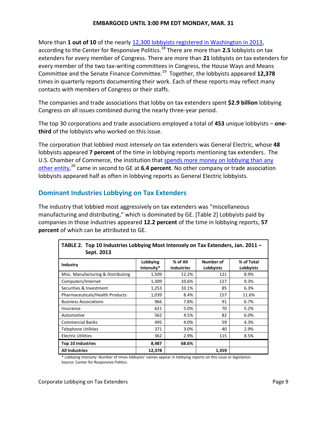#### **EMBARGOED UNTIL 3:00 PM EDT MONDAY, MAR. 31**

More than 1 out of 10 of the nearly [12,300 lobbyists registered in Washington in 2013,](http://www.opensecrets.org/lobby/) according to the Center for Responsive Politics.<sup>18</sup> There are more than **2.5** lobbyists on tax extenders for every member of Congress. There are more than **21** lobbyists on tax extenders for every member of the two tax-writing committees in Congress, the House Ways and Means Committee and the Senate Finance Committee.<sup>19</sup> Together, the lobbyists appeared **12,378** times in quarterly reports documenting their work. Each of these reports may reflect many contacts with members of Congress or their staffs.

The companies and trade associations that lobby on tax extenders spent **\$2.9 billion** lobbying Congress on all issues combined during the nearly three-year period.

The top 30 corporations and trade associations employed a total of **453** unique lobbyists – **onethird** of the lobbyists who worked on this issue.

The corporation that lobbied most *intensely* on tax extenders was General Electric, whose **48** lobbyists appeared **7 percent** of the time in lobbying reports mentioning tax extenders. The U.S. Chamber of Commerce, the institution that [spends more money on lobbying than any](http://www.opensecrets.org/lobby/top.php?showYear=a&indexType=s)  [other entity,](http://www.opensecrets.org/lobby/top.php?showYear=a&indexType=s) <sup>20</sup> came in second to GE at **6.4 percent**. No other company or trade association lobbyists appeared half as often in lobbying reports as General Electric lobbyists.

#### **Dominant Industries Lobbying on Tax Extenders**

The industry that lobbied most aggressively on tax extenders was "miscellaneous manufacturing and distributing," which is dominated by GE. [Table 2] Lobbyists paid by companies in those industries appeared **12.2 percent** of the time in lobbying reports, **57 percent** of which can be attributed to GE.

| <b>INDLE 2. TOP TO MURSUTES LODDYING INOSEMICISERY ON THE EXECUTE</b> RS, JUIL 2011<br>Sept. 2013 |                        |                               |                        |                         |
|---------------------------------------------------------------------------------------------------|------------------------|-------------------------------|------------------------|-------------------------|
| Industry                                                                                          | Lobbying<br>Intensity* | % of All<br><b>Industries</b> | Number of<br>Lobbyists | % of Total<br>Lobbyists |
| Misc. Manufacturing & Distributing                                                                | 1,509                  | 12.2%                         | 121                    | 8.9%                    |
| Computers/Internet                                                                                | 1,309                  | 10.6%                         | 127                    | 9.3%                    |
| Securities & Investment                                                                           | 1,253                  | 10.1%                         | 85                     | 6.3%                    |
| Pharmaceuticals/Health Products                                                                   | 1,039                  | 8.4%                          | 157                    | 11.6%                   |
| <b>Business Associations</b>                                                                      | 966                    | 7.8%                          | 91                     | 6.7%                    |
| Insurance                                                                                         | 621                    | 5.0%                          | 70                     | 5.2%                    |
| Automotive                                                                                        | 562                    | 4.5%                          | 82                     | 6.0%                    |
| <b>Commercial Banks</b>                                                                           | 495                    | 4.0%                          | 59                     | 4.3%                    |
| Telephone Utilities                                                                               | 371                    | 3.0%                          | 40                     | 2.9%                    |
| <b>Electric Utilities</b>                                                                         | 362                    | 2.9%                          | 115                    | 8.5%                    |
| <b>Top 10 Industries</b>                                                                          | 8,487                  | 68.6%                         |                        |                         |
| <b>All Industries</b>                                                                             | 12,378                 |                               | 1,359                  |                         |

**TABLE 2. Top 10 Industries Lobbying Most Intensely on Tax Extenders, Jan. 2011 –**

\* Lobbying Intensity: Number of times lobbyists' names appear in lobbying reports on this issue or legislation. Source: Center for Responsive Politics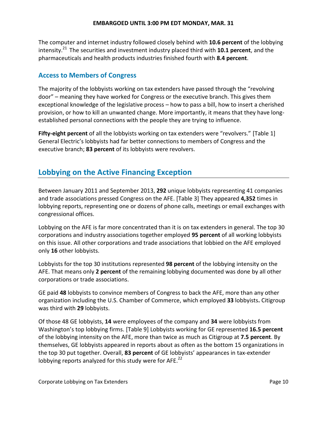The computer and internet industry followed closely behind with **10.6 percent** of the lobbying intensity. <sup>21</sup> The securities and investment industry placed third with **10.1 percent**, and the pharmaceuticals and health products industries finished fourth with **8.4 percent**.

#### **Access to Members of Congress**

The majority of the lobbyists working on tax extenders have passed through the "revolving door" – meaning they have worked for Congress or the executive branch. This gives them exceptional knowledge of the legislative process – how to pass a bill, how to insert a cherished provision, or how to kill an unwanted change. More importantly, it means that they have longestablished personal connections with the people they are trying to influence.

**Fifty-eight percent** of all the lobbyists working on tax extenders were "revolvers." [Table 1] General Electric's lobbyists had far better connections to members of Congress and the executive branch; **83 percent** of its lobbyists were revolvers.

# **Lobbying on the Active Financing Exception**

Between January 2011 and September 2013, **292** unique lobbyists representing 41 companies and trade associations pressed Congress on the AFE. [Table 3] They appeared **4,352** times in lobbying reports, representing one or dozens of phone calls, meetings or email exchanges with congressional offices.

Lobbying on the AFE is far more concentrated than it is on tax extenders in general. The top 30 corporations and industry associations together employed **95 percent** of all working lobbyists on this issue. All other corporations and trade associations that lobbied on the AFE employed only **16** other lobbyists.

Lobbyists for the top 30 institutions represented **98 percent** of the lobbying intensity on the AFE. That means only **2 percent** of the remaining lobbying documented was done by all other corporations or trade associations.

GE paid **48** lobbyists to convince members of Congress to back the AFE, more than any other organization including the U.S. Chamber of Commerce, which employed **33** lobbyists**.** Citigroup was third with **29** lobbyists.

Of those 48 GE lobbyists, **14** were employees of the company and **34** were lobbyists from Washington's top lobbying firms. [Table 9] Lobbyists working for GE represented **16.5 percent** of the lobbying intensity on the AFE, more than twice as much as Citigroup at **7.5 percent**. By themselves, GE lobbyists appeared in reports about as often as the bottom 15 organizations in the top 30 put together. Overall, **83 percent** of GE lobbyists' appearances in tax-extender lobbying reports analyzed for this study were for AFE.<sup>22</sup>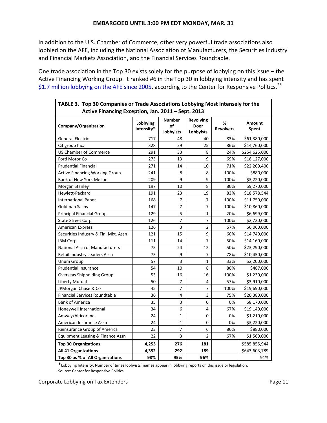In addition to the U.S. Chamber of Commerce, other very powerful trade associations also lobbied on the AFE, including the National Association of Manufacturers, the Securities Industry and Financial Markets Association, and the Financial Services Roundtable.

One trade association in the Top 30 exists solely for the purpose of lobbying on this issue – the Active Financing Working Group. It ranked #6 in the Top 30 in lobbying intensity and has spent \$1.7 [million lobbying on the AFE since 2005,](http://www.opensecrets.org/lobby/clientsum.php?id=D000046352&year=2012) according to the Center for Responsive Politics.<sup>23</sup>

| TABLE 3. Top 30 Companies or Trade Associations Lobbying Most Intensely for the<br>Active Financing Exception, Jan. 2011 - Sept. 2013 |                        |                                  |                                       |                       |                 |  |  |  |
|---------------------------------------------------------------------------------------------------------------------------------------|------------------------|----------------------------------|---------------------------------------|-----------------------|-----------------|--|--|--|
| Company/Organization                                                                                                                  | Lobbying<br>Intensity* | <b>Number</b><br>of<br>Lobbyists | <b>Revolving</b><br>Door<br>Lobbyists | %<br><b>Revolvers</b> | Amount<br>Spent |  |  |  |
| <b>General Electric</b>                                                                                                               | 717                    | 48                               | 40                                    | 83%                   | \$61,380,000    |  |  |  |
| Citigroup Inc.                                                                                                                        | 328                    | 29                               | 25                                    | 86%                   | \$14,760,000    |  |  |  |
| <b>US Chamber of Commerce</b>                                                                                                         | 291                    | 33                               | 8                                     | 24%                   | \$254,625,000   |  |  |  |
| Ford Motor Co                                                                                                                         | 273                    | 13                               | 9                                     | 69%                   | \$18,127,000    |  |  |  |
| <b>Prudential Financial</b>                                                                                                           | 271                    | 14                               | 10                                    | 71%                   | \$22,209,400    |  |  |  |
| <b>Active Financing Working Group</b>                                                                                                 | 241                    | 8                                | 8                                     | 100%                  | \$880,000       |  |  |  |
| Bank of New York Mellon                                                                                                               | 209                    | 9                                | 9                                     | 100%                  | \$3,220,000     |  |  |  |
| Morgan Stanley                                                                                                                        | 197                    | 10                               | 8                                     | 80%                   | \$9,270,000     |  |  |  |
| Hewlett-Packard                                                                                                                       | 191                    | 23                               | 19                                    | 83%                   | \$18,578,544    |  |  |  |
| <b>International Paper</b>                                                                                                            | 168                    | 7                                | 7                                     | 100%                  | \$11,750,000    |  |  |  |
| Goldman Sachs                                                                                                                         | 147                    | 7                                | 7                                     | 100%                  | \$10,860,000    |  |  |  |
| <b>Principal Financial Group</b>                                                                                                      | 129                    | 5                                | 1                                     | 20%                   | \$6,699,000     |  |  |  |
| <b>State Street Corp</b>                                                                                                              | 126                    | 7                                | $\overline{7}$                        | 100%                  | \$2,720,000     |  |  |  |
| <b>American Express</b>                                                                                                               | 126                    | 3                                | $\overline{2}$                        | 67%                   | \$6,060,000     |  |  |  |
| Securities Industry & Fin. Mkt. Assn                                                                                                  | 121                    | 15                               | 9                                     | 60%                   | \$14,740,000    |  |  |  |
| <b>IBM Corp</b>                                                                                                                       | 111                    | 14                               | $\overline{7}$                        | 50%                   | \$14,160,000    |  |  |  |
| <b>National Assn of Manufacturers</b>                                                                                                 | 75                     | 24                               | 12                                    | 50%                   | \$23,290,000    |  |  |  |
| Retail Industry Leaders Assn                                                                                                          | 75                     | 9                                | 7                                     | 78%                   | \$10,450,000    |  |  |  |
| <b>Unum Group</b>                                                                                                                     | 57                     | 3                                | $\mathbf 1$                           | 33%                   | \$2,200,000     |  |  |  |
| <b>Prudential Insurance</b>                                                                                                           | 54                     | 10                               | 8                                     | 80%                   | \$487,000       |  |  |  |
| Overseas Shipholding Group                                                                                                            | 53                     | 16                               | 16                                    | 100%                  | \$1,230,000     |  |  |  |
| Liberty Mutual                                                                                                                        | 50                     | 7                                | 4                                     | 57%                   | \$3,910,000     |  |  |  |
| JPMorgan Chase & Co                                                                                                                   | 45                     | 7                                | 7                                     | 100%                  | \$19,690,000    |  |  |  |
| <b>Financial Services Roundtable</b>                                                                                                  | 36                     | 4                                | 3                                     | 75%                   | \$20,380,000    |  |  |  |
| <b>Bank of America</b>                                                                                                                | 35                     | 3                                | 0                                     | 0%                    | \$8,170,000     |  |  |  |
| Honeywell International                                                                                                               | 34                     | 6                                | 4                                     | 67%                   | \$19,140,000    |  |  |  |
| Amway/Alticor Inc.                                                                                                                    | 24                     | 1                                | 0                                     | 0%                    | \$1,210,000     |  |  |  |
| American Insurance Assn                                                                                                               | 24                     | $\mathbf 1$                      | 0                                     | 0%                    | \$3,220,000     |  |  |  |
| Reinsurance Group of America                                                                                                          | 23                     | 7                                | 6                                     | 86%                   | \$880,000       |  |  |  |
| Equipment Leasing & Finance Assn                                                                                                      | 22                     | 3                                | $\overline{2}$                        | 67%                   | \$1,560,000     |  |  |  |
| <b>Top 30 Organizations</b>                                                                                                           | 4,253                  | 276                              | 181                                   |                       | \$585,855,944   |  |  |  |
| All 41 Organizations                                                                                                                  | 4,352                  | 292                              | 189                                   |                       | \$643,603,789   |  |  |  |
| Top 30 as % of All Organizations                                                                                                      | 98%                    | 95%                              | 96%                                   |                       | 91%             |  |  |  |

\*Lobbying Intensity: Number of times lobbyists' names appear in lobbying reports on this issue or legislation. Source: Center for Responsive Politics

Corporate Lobbying on Tax Extenders **Page 11** and the Corporate Lobbying on Tax Extenders **Page 11** 

F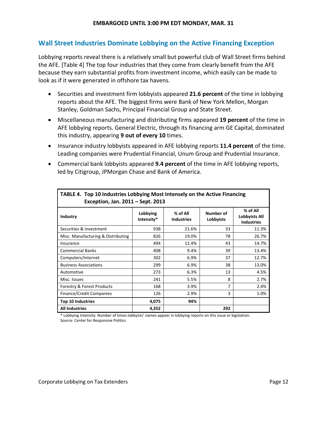#### **Wall Street Industries Dominate Lobbying on the Active Financing Exception**

Lobbying reports reveal there is a relatively small but powerful club of Wall Street firms behind the AFE. [Table 4] The top four industries that they come from clearly benefit from the AFE because they earn substantial profits from investment income, which easily can be made to look as if it were generated in offshore tax havens.

- Securities and investment firm lobbyists appeared **21.6 percent** of the time in lobbying reports about the AFE. The biggest firms were Bank of New York Mellon, Morgan Stanley, Goldman Sachs, Principal Financial Group and State Street.
- Miscellaneous manufacturing and distributing firms appeared **19 percent** of the time in AFE lobbying reports. General Electric, through its financing arm GE Capital, dominated this industry, appearing **9 out of every 10** times.
- **Insurance industry lobbyists appeared in AFE lobbying reports 11.4 percent of the time.** Leading companies were Prudential Financial, Unum Group and Prudential Insurance.
- Commercial bank lobbyists appeared **9.4 percent** of the time in AFE lobbying reports, led by Citigroup, JPMorgan Chase and Bank of America.

| TABLE 4. Top 10 Industries Lobbying Most Intensely on the Active Financing<br>Exception, Jan. 2011 - Sept. 2013 |                        |                               |                        |                                                       |  |  |  |  |
|-----------------------------------------------------------------------------------------------------------------|------------------------|-------------------------------|------------------------|-------------------------------------------------------|--|--|--|--|
| Industry                                                                                                        | Lobbying<br>Intensity* | % of All<br><b>Industries</b> | Number of<br>Lobbyists | % of All<br><b>Lobbyists All</b><br><b>Industries</b> |  |  |  |  |
| Securities & Investment                                                                                         | 938                    | 21.6%                         | 33                     | 11.3%                                                 |  |  |  |  |
| Misc. Manufacturing & Distributing                                                                              | 826                    | 19.0%                         | 78                     | 26.7%                                                 |  |  |  |  |
| Insurance                                                                                                       | 494                    | 11.4%                         | 43                     | 14.7%                                                 |  |  |  |  |
| <b>Commercial Banks</b>                                                                                         | 408                    | 9.4%                          | 39                     | 13.4%                                                 |  |  |  |  |
| Computers/Internet                                                                                              | 302                    | 6.9%                          | 37                     | 12.7%                                                 |  |  |  |  |
| <b>Business Associations</b>                                                                                    | 299                    | 6.9%                          | 38                     | 13.0%                                                 |  |  |  |  |
| Automotive                                                                                                      | 273                    | 6.3%                          | 13                     | 4.5%                                                  |  |  |  |  |
| Misc. Issues                                                                                                    | 241                    | 5.5%                          | 8                      | 2.7%                                                  |  |  |  |  |
| Forestry & Forest Products                                                                                      | 168                    | 3.9%                          | 7                      | 2.4%                                                  |  |  |  |  |
| <b>Finance/Credit Companies</b>                                                                                 | 126                    | 2.9%                          | 3                      | 1.0%                                                  |  |  |  |  |
| <b>Top 10 Industries</b>                                                                                        | 4,075                  | 94%                           |                        |                                                       |  |  |  |  |
| <b>All Industries</b>                                                                                           | 4,352                  |                               | 292                    |                                                       |  |  |  |  |

**TABLE 4. Top 10 Industries Lobbying Most Intensely on the Active Financing** 

\* Lobbying Intensity: Number of times lobbyists' names appear in lobbying reports on this issue or legislation. Source: Center for Responsive Politics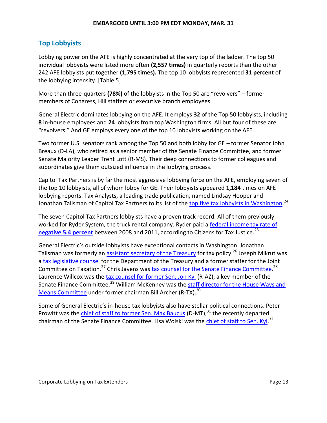## **Top Lobbyists**

Lobbying power on the AFE is highly concentrated at the very top of the ladder. The top 50 individual lobbyists were listed more often **(2,557 times)** in quarterly reports than the other 242 AFE lobbyists put together **(1,795 times).** The top 10 lobbyists represented **31 percent** of the lobbying intensity. [Table 5]

More than three-quarters **(78%)** of the lobbyists in the Top 50 are "revolvers" – former members of Congress, Hill staffers or executive branch employees.

General Electric dominates lobbying on the AFE. It employs **32** of the Top 50 lobbyists, including **8** in-house employees and **24** lobbyists from top Washington firms. All but four of these are "revolvers." And GE employs every one of the top 10 lobbyists working on the AFE.

Two former U.S. senators rank among the Top 50 and both lobby for GE – former Senator John Breaux (D-LA), who retired as a senior member of the Senate Finance Committee, and former Senate Majority Leader Trent Lott (R-MS). Their deep connections to former colleagues and subordinates give them outsized influence in the lobbying process.

Capitol Tax Partners is by far the most aggressive lobbying force on the AFE, employing seven of the top 10 lobbyists, all of whom lobby for GE. Their lobbyists appeared **1,184** times on AFE lobbying reports. Tax Analysts, a leading trade publication, named Lindsay Hooper and Jonathan Talisman of Capitol Tax Partners to its list of the [top five tax lobbyists in Washington.](http://www.taxanalysts.com/www/features.nsf/Articles/A834D5E2DC9C2E4385257AA0004E047E?OpenDocument)<sup>24</sup>

The seven Capitol Tax Partners lobbyists have a proven track record. All of them previously worked for Ryder System, the truck rental company. Ryder paid a [federal income tax rate of](http://www.ctj.org/pdf/notax2012.pdf)  **negative [5.4 percent](http://www.ctj.org/pdf/notax2012.pdf)** between 2008 and 2011, according to Citizens for Tax Justice.<sup>25</sup>

General Electric's outside lobbyists have exceptional contacts in Washington. Jonathan Talisman was formerly an [assistant secretary of the Treasury](http://www.law.georgetown.edu/faculty/talisman-jonathan.cfm) for tax policy.<sup>26</sup> Joseph Mikrut was a [tax legislative counsel](https://www.law.georgetown.edu/faculty/mikrut-joseph.cfm) for the Department of the Treasury and a former staffer for the Joint Committee on Taxation.<sup>27</sup> Chris Javens was **tax counsel for the Senate Finance Committee.<sup>28</sup>** Laurence Willcox was the [tax counsel for former Sen. Jon Kyl](http://www.capitoltax.com/lawrencewillcox.html) (R-AZ), a key member of the Senate Finance Committee.<sup>29</sup> William McKenney was the staff director for the House Ways and [Means Committee](http://www.opensecrets.org/revolving/rev_summary.php?id=30923) under former chairman Bill Archer (R-TX).<sup>30</sup>

Some of General Electric's in-house tax lobbyists also have stellar political connections. Peter Prowitt was the [chief of staff to former Sen. Max Baucus](http://www.opensecrets.org/revolving/rev_summary.php?id=76626) (D-MT), $31$  the recently departed chairman of the Senate Finance Committee. Lisa Wolski was the [chief of staff to Sen. Kyl.](http://www.opensecrets.org/revolving/rev_summary.php?id=77607)<sup>32</sup>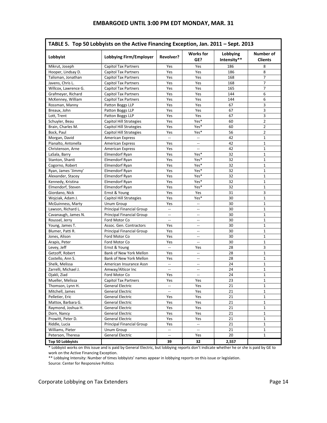| TABLE 5. Top 50 Lobbyists on the Active Financing Exception, Jan. 2011 - Sept. 2013 |                                            |                          |                                                     |                         |                              |  |
|-------------------------------------------------------------------------------------|--------------------------------------------|--------------------------|-----------------------------------------------------|-------------------------|------------------------------|--|
| Lobbyist                                                                            | Lobbying Firm/Employer                     | Revolver?                | <b>Works</b> for<br>GE?                             | Lobbying<br>Intensity** | Number of<br><b>Clients</b>  |  |
| Mikrut, Joseph                                                                      | <b>Capitol Tax Partners</b>                | Yes                      | Yes                                                 | 186                     | 8                            |  |
| Hooper, Lindsay D.                                                                  | <b>Capitol Tax Partners</b>                | Yes                      | Yes                                                 | 186                     | 8                            |  |
| Talisman, Jonathan                                                                  | <b>Capitol Tax Partners</b>                | Yes                      | Yes                                                 | 168                     | $\overline{7}$               |  |
| Javens, Chris L.                                                                    | Capitol Tax Partners                       | Yes                      | Yes                                                 | 168                     | 7                            |  |
| Willcox, Lawrence G.                                                                | Capitol Tax Partners                       | Yes                      | Yes                                                 | 165                     | $\overline{7}$               |  |
| Grafmeyer, Richard                                                                  | <b>Capitol Tax Partners</b>                | Yes                      | Yes                                                 | 144                     | 6                            |  |
| McKenney, William                                                                   | <b>Capitol Tax Partners</b>                | Yes                      | Yes                                                 | 144                     | 6                            |  |
| Rossman, Manny                                                                      | Patton Boggs LLP                           | Yes                      | Yes                                                 | 67                      | 3                            |  |
| Breaux, John                                                                        | Patton Boggs LLP                           | Yes                      | Yes                                                 | 67                      | 3                            |  |
| Lott, Trent                                                                         | Patton Boggs LLP                           | Yes                      | Yes                                                 | 67                      | 3                            |  |
| Schuyler, Beau                                                                      | Capitol Hill Strategies                    | Yes                      | Yes*                                                | 60                      | 2                            |  |
| Brain, Charles M.                                                                   | Capitol Hill Strategies                    | Yes                      | Yes*                                                | 60                      | $\overline{2}$               |  |
| Bock, Paul                                                                          | Capitol Hill Strategies                    | Yes                      | Yes*                                                | 56                      | $\overline{2}$               |  |
| Morgan, David                                                                       | American Express                           | $\overline{\phantom{a}}$ | --                                                  | 42                      | $\mathbf{1}$                 |  |
| Pianalto, Antonella                                                                 | <b>American Express</b>                    | Yes                      | Щ.                                                  | 42                      | $\mathbf{1}$                 |  |
| Christenson, Arne                                                                   | <b>American Express</b>                    | Yes                      |                                                     | 42                      | $\mathbf{1}$                 |  |
| LaSala, Barry                                                                       | Elmendorf Ryan                             | Yes                      | Yes*                                                | 32                      | $\mathbf{1}$                 |  |
| Stanton, Shanti                                                                     | Elmendorf Ryan                             | Yes                      | Yes*                                                | 32                      | 1                            |  |
| Cogorno, Robert                                                                     | Elmendorf Ryan                             | Yes                      | Yes*                                                | 32                      | $\mathbf 1$                  |  |
| Ryan, James 'Jimmy'                                                                 | Elmendorf Ryan                             | Yes                      | Yes*                                                | 32                      | $\mathbf{1}$                 |  |
| Alexander, Stacey                                                                   | Elmendorf Ryan                             | Yes                      | Yes*                                                | 32                      | $\mathbf{1}$                 |  |
| Kennedy, Kristina                                                                   | Elmendorf Ryan                             | Yes                      | Yes*                                                | 32                      | $\mathbf{1}$                 |  |
| Elmendorf, Steven                                                                   | Elmendorf Ryan                             | Yes                      | Yes*                                                | 32                      | $\mathbf{1}$                 |  |
| Giordano, Nick                                                                      | Ernst & Young                              | Yes                      | Yes                                                 | 31                      | 3                            |  |
| Wojciak, Adam J.                                                                    | Capitol Hill Strategies                    | Yes                      | Yes*                                                | 30                      | $\mathbf{1}$                 |  |
| McGuinness, Marty                                                                   | Unum Group                                 | Yes                      | $\overline{\phantom{a}}$                            | 30                      | $\mathbf{1}$                 |  |
| Lawson, Richard L.                                                                  | <b>Principal Financial Group</b>           | $\mathbf{u}$             | Ξ.                                                  | 30                      | $\mathbf{1}$                 |  |
| Cavanaugh, James N.                                                                 | Principal Financial Group                  | $\overline{\phantom{a}}$ | $\overline{\phantom{a}}$                            | 30                      | $\mathbf{1}$                 |  |
|                                                                                     | Ford Motor Co                              | $\overline{\phantom{a}}$ | $\overline{a}$                                      | 30                      | $\mathbf{1}$                 |  |
| Roussel, Jerry                                                                      | Assoc. Gen. Contractors                    | Yes                      | $\overline{\phantom{a}}$                            | 30                      | $\mathbf{1}$                 |  |
| Young, James T.<br>Blumer, Patti R.                                                 |                                            | Yes                      |                                                     | 30                      | $\mathbf{1}$                 |  |
|                                                                                     | Principal Financial Group<br>Ford Motor Co |                          | $\hspace{0.05cm} -\hspace{0.05cm} -\hspace{0.05cm}$ |                         | $\mathbf{1}$                 |  |
| Jones, Alison                                                                       |                                            | Yes                      | --                                                  | 30                      | $\mathbf{1}$                 |  |
| Arapis, Peter                                                                       | Ford Motor Co                              | Yes<br>$\mathbf{L}$      | $\overline{a}$                                      | 30                      |                              |  |
| Levey, Jeff<br>Getzoff, Robert                                                      | Ernst & Young                              |                          | Yes                                                 | 28                      | 3                            |  |
| Costello, Ann S.                                                                    | Bank of New York Mellon                    | Yes                      | $\overline{\phantom{a}}$                            | 28<br>28                | $\mathbf{1}$<br>$\mathbf{1}$ |  |
|                                                                                     | Bank of New York Mellon                    | Yes                      | $\overline{a}$                                      |                         |                              |  |
| Shelk, Melissa                                                                      | American Insurance Assn                    | $\overline{\phantom{a}}$ | $\overline{\phantom{a}}$                            | 24                      | $\mathbf{1}$                 |  |
| Zarrelli, Michael J.                                                                | Amway/Alticor Inc                          | $\overline{\phantom{a}}$ | --                                                  | 24                      | $\mathbf{1}$                 |  |
| Ojakli, Ziad                                                                        | Ford Motor Co                              | Yes                      | $\overline{a}$                                      | 24                      | $\mathbf{1}$                 |  |
| Mueller, Melissa                                                                    | Capitol Tax Partners                       | Yes<br>ω,                | Yes                                                 | 23                      | 1                            |  |
| Thomson, Lynn H.                                                                    | <b>General Electric</b>                    |                          | Yes                                                 | 21                      | $\mathbf{1}$                 |  |
| Mitchell, James                                                                     | <b>General Electric</b>                    | $\qquad \qquad -$        | Yes                                                 | 21                      | 1                            |  |
| Pelletier, Eric                                                                     | General Electric                           | Yes                      | Yes                                                 | 21                      | $\mathbf{1}$                 |  |
| Mattox, Barbara G.                                                                  | General Electric                           | Yes                      | Yes                                                 | 21                      | $\mathbf{1}$                 |  |
| Raymond, Joshua H.                                                                  | <b>General Electric</b>                    | Yes                      | Yes                                                 | 21                      | $\mathbf{1}$                 |  |
| Dorn, Nancy                                                                         | General Electric                           | Yes                      | Yes                                                 | 21                      | $\mathbf{1}$                 |  |
| Prowitt, Peter D.                                                                   | <b>General Electric</b>                    | Yes                      | Yes                                                 | 21                      | $\mathbf{1}$                 |  |
| Riddle, Lucia                                                                       | Principal Financial Group                  | Yes                      | Ξ.                                                  | 21                      | $\mathbf{1}$                 |  |
| Williams, Pieter                                                                    | Unum Group                                 | $\overline{\phantom{a}}$ | --                                                  | 21                      | 1                            |  |
| Peterson, Theresa                                                                   | <b>General Electric</b>                    | $-\,$                    | Yes                                                 | 20                      | $\mathbf{1}$                 |  |
| <b>Top 50 Lobbyists</b>                                                             |                                            | 39                       | 32                                                  | 2,557                   |                              |  |

\* Lobbyist works on this issue and is paid by General Electric, but lobbying reports don't indicate whether he or she is paid by GE to work on the Active Financing Exception.

\*\* Lobbying Intensity: Number of times lobbyists' names appear in lobbying reports on this issue or legislation. Source: Center for Responsive Politics

#### Corporate Lobbying on Tax Extenders **Page 14** and 200 and 200 and 200 and 200 and 200 and 200 and 200 and 200 and 200 and 200 and 200 and 200 and 200 and 200 and 200 and 200 and 200 and 200 and 200 and 200 and 200 and 200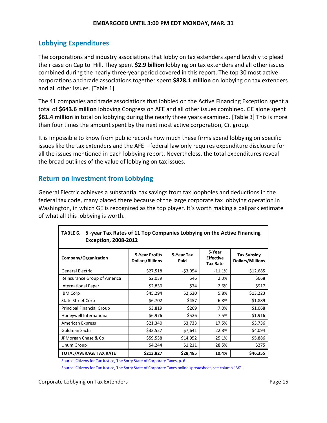#### **Lobbying Expenditures**

The corporations and industry associations that lobby on tax extenders spend lavishly to plead their case on Capitol Hill. They spent **\$2.9 billion** lobbying on tax extenders and all other issues combined during the nearly three-year period covered in this report. The top 30 most active corporations and trade associations together spent **\$828.1 million** on lobbying on tax extenders and all other issues. [Table 1]

The 41 companies and trade associations that lobbied on the Active Financing Exception spent a total of **\$643.6 million** lobbying Congress on AFE and all other issues combined. GE alone spent **\$61.4 million** in total on lobbying during the nearly three years examined. [Table 3] This is more than four times the amount spent by the next most active corporation, Citigroup.

It is impossible to know from public records how much these firms spend lobbying on specific issues like the tax extenders and the AFE – federal law only requires expenditure disclosure for all the issues mentioned in each lobbying report. Nevertheless, the total expenditures reveal the broad outlines of the value of lobbying on tax issues.

#### **Return on Investment from Lobbying**

General Electric achieves a substantial tax savings from tax loopholes and deductions in the federal tax code, many placed there because of the large corporate tax lobbying operation in Washington, in which GE is recognized as the top player. It's worth making a ballpark estimate of what all this lobbying is worth.

| 100LL V.<br>3 - year Tax Rates of 11 Top companies Lobbying on the Active Financing<br><b>Exception, 2008-2012</b> |                                           |                    |                                               |                                               |  |  |  |
|--------------------------------------------------------------------------------------------------------------------|-------------------------------------------|--------------------|-----------------------------------------------|-----------------------------------------------|--|--|--|
| Company/Organization                                                                                               | 5-Year Profits<br><b>Dollars/Billions</b> | 5-Year Tax<br>Paid | 5-Year<br><b>Effective</b><br><b>Tax Rate</b> | <b>Tax Subsidy</b><br><b>Dollars/Millions</b> |  |  |  |
| <b>General Electric</b>                                                                                            | \$27,518                                  | $-53,054$          | $-11.1%$                                      | \$12,685                                      |  |  |  |
| Reinsurance Group of America                                                                                       | \$2,039                                   | \$46               | 2.3%                                          | \$668                                         |  |  |  |
| <b>International Paper</b>                                                                                         | \$2,830                                   | \$74               | 2.6%                                          | \$917                                         |  |  |  |
| <b>IBM Corp</b>                                                                                                    | \$45,294                                  | \$2,630            | 5.8%                                          | \$13,223                                      |  |  |  |
| <b>State Street Corp</b>                                                                                           | \$6,702                                   | \$457              | 6.8%                                          | \$1,889                                       |  |  |  |
| <b>Principal Financial Group</b>                                                                                   | \$3,819                                   | \$269              | 7.0%                                          | \$1,068                                       |  |  |  |
| Honeywell International                                                                                            | \$6,976                                   | \$526              | 7.5%                                          | \$1,916                                       |  |  |  |
| <b>American Express</b>                                                                                            | \$21,340                                  | \$3,733            | 17.5%                                         | \$3,736                                       |  |  |  |
| Goldman Sachs                                                                                                      | \$33,527                                  | \$7,641            | 22.8%                                         | \$4,094                                       |  |  |  |
| JPMorgan Chase & Co                                                                                                | \$59,538                                  | \$14,952           | 25.1%                                         | \$5,886                                       |  |  |  |
| Unum Group                                                                                                         | \$4,244                                   | \$1,211            | 28.5%                                         | \$275                                         |  |  |  |
| TOTAL/AVERAGE TAX RATE                                                                                             | \$213,827                                 | \$28,485           | 10.4%                                         | \$46,355                                      |  |  |  |

# **TABLE 6. 5 -year Tax Rates of 11 Top Companies Lobbying on the Active Financing**

[Source: Citizens for Tax Justice, The Sorry State of Corporate Taxes, p. 6](http://www.ctj.org/corporatetaxdodgers/sorrystateofcorptaxes.pdf)

[Source: Citizens for Tax Justice, The Sorry State of Corporate Taxes online spreadsheet, see column "BK"](file:///C:/AppData/Local/Temp/Download%20the%20Corporate%20Data%20(XLS))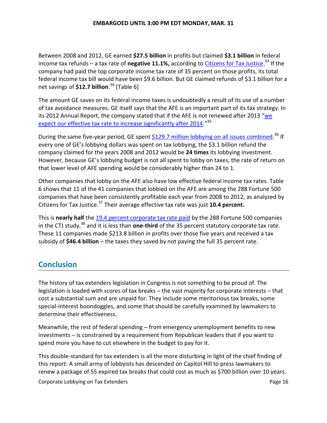Between 2008 and 2012, GE earned **\$27.5 billion** in profits but claimed **\$3.1 billion** in federal income tax refunds – a tax rate of **negative 11.1%,** according to <u>Citizens for Tax Justice</u>.<sup>33</sup> If the company had paid the top corporate income tax rate of 35 percent on those profits, its total federal income tax bill would have been \$9.6 billion. But GE claimed refunds of \$3.1 billion for a net savings of **\$12.7 billion**. <sup>34</sup> [Table 6]

The amount GE saves on its federal income taxes is undoubtedly a result of its use of a number of tax avoidance measures. GE itself says that the AFE is an important part of its tax strategy. In its 2012 Annual Report, the company stated that if the AFE is not renewed after 2013 "we [expect our effective tax rate to increase significantly after 2014](http://www.ge.com/ar2012/pdf/GE_AR12.pdf)."<sup>35</sup>

During the same five-year period, GE spent **\$129.7** million lobbying on all issues combined.<sup>36</sup> If every one of GE's lobbying dollars was spent on tax lobbying, the \$3.1 billion refund the company claimed for the years 2008 and 2012 would be **24 times** its lobbying investment. However, because GE's lobbying budget is not all spent to lobby on taxes, the rate of return on that lower level of AFE spending would be considerably higher than 24 to 1.

Other companies that lobby on the AFE also have low effective federal income tax rates. Table 6 shows that 11 of the 41 companies that lobbied on the AFE are among the 288 Fortune 500 companies that have been consistently profitable each year from 2008 to 2012, as analyzed by Citizens for Tax Justice.<sup>37</sup> Their average effective tax rate was just **10.4 percent.** 

This is **nearly half** the [19.4 percent corporate tax rate paid](http://www.ctj.org/corporatetaxdodgers/sorrystateofcorptaxes.php#Executive%20Summary) by the 288 Fortune 500 companies in the CTJ study,<sup>38</sup> and it is less than **one-third** of the 35 percent statutory corporate tax rate. These 11 companies made \$213.8 billion in profits over those five years and received a tax subsidy of **\$46.4 billion** – the taxes they saved by not paying the full 35 percent rate.

# **Conclusion**

The history of tax extenders legislation in Congress is not something to be proud of. The legislation is loaded with scores of tax breaks – the vast majority for corporate interests – that cost a substantial sum and are unpaid for. They include some meritorious tax breaks, some special-interest boondoggles, and some that should be carefully examined by lawmakers to determine their effectiveness.

Meanwhile, the rest of federal spending – from emergency unemployment benefits to new investments – is constrained by a requirement from Republican leaders that if you want to spend more you have to cut elsewhere in the budget to pay for it.

This double-standard for tax extenders is all the more disturbing in light of the chief finding of this report: A small army of lobbyists has descended on Capitol Hill to press lawmakers to renew a package of 55 expired tax breaks that could cost as much as \$700 billion over 10 years.

Corporate Lobbying on Tax Extenders **Page 16** and Tax Extenders **Page 16** and Tax **Page 16** and Tax **Page 16** and Tax **Page 16** and Tax **Page 16** and Tax **Page 16** and Tax **Page 16** and Tax **Page 16** and Tax **Page 16** and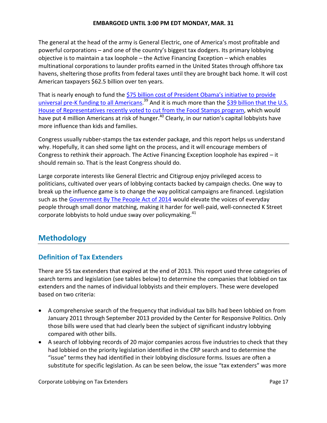#### **EMBARGOED UNTIL 3:00 PM EDT MONDAY, MAR. 31**

The general at the head of the army is General Electric, one of America's most profitable and powerful corporations – and one of the country's biggest tax dodgers. Its primary lobbying objective is to maintain a tax loophole – the Active Financing Exception – which enables multinational corporations to launder profits earned in the United States through offshore tax havens, sheltering those profits from federal taxes until they are brought back home. It will cost American taxpayers \$62.5 billion over ten years.

That is nearly enough to fund the [\\$75 billion cost of President Obama's initiative to provide](file:///C:/Users/Frank/Dropbox/For%20Campaign%20Staff%20Only/Research%20&%20Policy/Tax%20Extenders/Corporate%20Lobbying%20Report/Early%20Learning:%20America)  [universal pre-K funding to all Americans.](file:///C:/Users/Frank/Dropbox/For%20Campaign%20Staff%20Only/Research%20&%20Policy/Tax%20Extenders/Corporate%20Lobbying%20Report/Early%20Learning:%20America)<sup>39</sup> And it is much more than the [\\$39 billion that](http://thehill.com/blogs/floor-action/house/323511-house-votes-to-cut-39-billion-from-food-stamp-program) the U.S. [House of Representatives recently voted to cut from the Food](http://thehill.com/blogs/floor-action/house/323511-house-votes-to-cut-39-billion-from-food-stamp-program) Stamps program, which would have put 4 million Americans at risk of hunger.<sup>40</sup> Clearly, in our nation's capital lobbyists have more influence than kids and families.

Congress usually rubber-stamps the tax extender package, and this report helps us understand why. Hopefully, it can shed some light on the process, and it will encourage members of Congress to rethink their approach. The Active Financing Exception loophole has expired – it should remain so. That is the least Congress should do.

Large corporate interests like General Electric and Citigroup enjoy privileged access to politicians, cultivated over years of lobbying contacts backed by campaign checks. One way to break up the influence game is to change the way political campaigns are financed. Legislation such as the [Government By The People Act of 2014](http://www.publicampaign.org/pressroom/2014/02/05/press-release-watchdog-applauds-new-bill-raise-voices-everyday-people-political) would elevate the voices of everyday people through small donor matching, making it harder for well-paid, well-connected K Street corporate lobbyists to hold undue sway over policymaking.<sup>41</sup>

# **Methodology**

### **Definition of Tax Extenders**

There are 55 tax extenders that expired at the end of 2013. This report used three categories of search terms and legislation (see tables below) to determine the companies that lobbied on tax extenders and the names of individual lobbyists and their employers. These were developed based on two criteria:

- A comprehensive search of the frequency that individual tax bills had been lobbied on from January 2011 through September 2013 provided by the Center for Responsive Politics. Only those bills were used that had clearly been the subject of significant industry lobbying compared with other bills.
- A search of lobbying records of 20 major companies across five industries to check that they had lobbied on the priority legislation identified in the CRP search and to determine the "issue" terms they had identified in their lobbying disclosure forms. Issues are often a substitute for specific legislation. As can be seen below, the issue "tax extenders" was more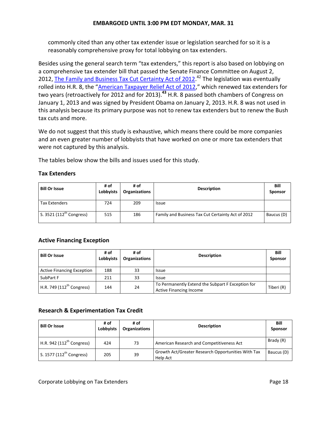commonly cited than any other tax extender issue or legislation searched for so it is a reasonably comprehensive proxy for total lobbying on tax extenders.

Besides using the general search term "tax extenders," this report is also based on lobbying on a comprehensive tax extender bill that passed the Senate Finance Committee on August 2, 2012, [The Family and Business Tax Cut Certainty Act of 2012.](http://www.finance.senate.gov/newsroom/chairman/release/?id=e3290a69-8fa4-4a6d-8c3a-756ea03a4224)<sup>42</sup> The legislation was eventually rolled into H.R. 8, the "[American Taxpayer Relief Act of 2012,](https://www.govtrack.us/congress/bills/112/hr8)" which renewed tax extenders for two years (retroactively for 2012 and for 2013).**<sup>43</sup>** H.R. 8 passed both chambers of Congress on January 1, 2013 and was signed by President Obama on January 2, 2013. H.R. 8 was not used in this analysis because its primary purpose was not to renew tax extenders but to renew the Bush tax cuts and more.

We do not suggest that this study is exhaustive, which means there could be more companies and an even greater number of lobbyists that have worked on one or more tax extenders that were not captured by this analysis.

The tables below show the bills and issues used for this study.

#### **Tax Extenders**

| <b>Bill Or Issue</b>          | # of<br>Lobbyists | # of<br><b>Organizations</b> | <b>Description</b>                                | Bill<br><b>Sponsor</b> |
|-------------------------------|-------------------|------------------------------|---------------------------------------------------|------------------------|
| <b>Tax Extenders</b>          | 724               | 209                          | <b>Issue</b>                                      |                        |
| S. 3521 $(112^{th}$ Congress) | 515               | 186                          | Family and Business Tax Cut Certainty Act of 2012 | Baucus (D)             |

#### **Active Financing Exception**

| <b>Bill Or Issue</b>                  | # of<br>Lobbyists | # of<br><b>Organizations</b> | <b>Description</b>                                                                  | Bill<br><b>Sponsor</b> |
|---------------------------------------|-------------------|------------------------------|-------------------------------------------------------------------------------------|------------------------|
| <b>Active Financing Exception</b>     | 188               | 33                           | <b>Issue</b>                                                                        |                        |
| SubPart F                             | 211               | 33                           | <b>Issue</b>                                                                        |                        |
| H.R. 749 (112 <sup>th</sup> Congress) | 144               | 24                           | To Permanently Extend the Subpart F Exception for<br><b>Active Financing Income</b> | Tiberi (R)             |

#### **Research & Experimentation Tax Credit**

| <b>Bill Or Issue</b>                 | # of<br><b>Lobbyists</b> | # of<br><b>Organizations</b> | <b>Description</b>                                             | Bill<br><b>Sponsor</b> |
|--------------------------------------|--------------------------|------------------------------|----------------------------------------------------------------|------------------------|
| H.R. 942 $(112^{th}$ Congress)       | 424                      | 73                           | American Research and Competitiveness Act                      | Brady (R)              |
| S. 1577 (112 <sup>th</sup> Congress) | 205                      | 39                           | Growth Act/Greater Research Opportunities With Tax<br>Help Act | Baucus (D)             |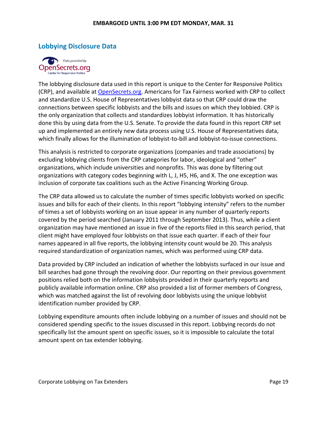#### **Lobbying Disclosure Data**



The lobbying disclosure data used in this report is unique to the Center for Responsive Politics (CRP), and available at [OpenSecrets.org.](http://www.opensecrets.org/) Americans for Tax Fairness worked with CRP to collect and standardize U.S. House of Representatives lobbyist data so that CRP could draw the connections between specific lobbyists and the bills and issues on which they lobbied. CRP is the only organization that collects and standardizes lobbyist information. It has historically done this by using data from the U.S. Senate. To provide the data found in this report CRP set up and implemented an entirely new data process using U.S. House of Representatives data, which finally allows for the illumination of lobbyist-to-bill and lobbyist-to-issue connections.

This analysis is restricted to corporate organizations (companies and trade associations) by excluding lobbying clients from the CRP categories for labor, ideological and "other" organizations, which include universities and nonprofits. This was done by filtering out organizations with category codes beginning with L, J, H5, H6, and X. The one exception was inclusion of corporate tax coalitions such as the Active Financing Working Group.

The CRP data allowed us to calculate the number of times specific lobbyists worked on specific issues and bills for each of their clients. In this report "lobbying intensity" refers to the number of times a set of lobbyists working on an issue appear in any number of quarterly reports covered by the period searched (January 2011 through September 2013). Thus, while a client organization may have mentioned an issue in five of the reports filed in this search period, that client might have employed four lobbyists on that issue each quarter. If each of their four names appeared in all five reports, the lobbying intensity count would be 20. This analysis required standardization of organization names, which was performed using CRP data.

Data provided by CRP included an indication of whether the lobbyists surfaced in our issue and bill searches had gone through the revolving door. Our reporting on their previous government positions relied both on the information lobbyists provided in their quarterly reports and publicly available information online. CRP also provided a list of former members of Congress, which was matched against the list of revolving door lobbyists using the unique lobbyist identification number provided by CRP.

Lobbying expenditure amounts often include lobbying on a number of issues and should not be considered spending specific to the issues discussed in this report. Lobbying records do not specifically list the amount spent on specific issues, so it is impossible to calculate the total amount spent on tax extender lobbying.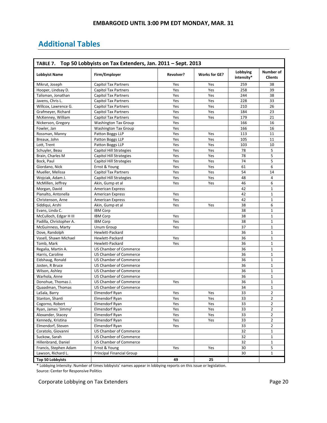# **Additional Tables**

| TABLE 7. Top 50 Lobbyists on Tax Extenders, Jan. 2011 - Sept. 2013 |                                              |           |                      |                        |                             |  |
|--------------------------------------------------------------------|----------------------------------------------|-----------|----------------------|------------------------|-----------------------------|--|
| <b>Lobbyist Name</b>                                               | Firm/Employer                                | Revolver? | <b>Works for GE?</b> | Lobbying<br>intensity* | Number of<br><b>Clients</b> |  |
| Mikrut, Joseph                                                     | <b>Capitol Tax Partners</b>                  | Yes       | Yes                  | 259                    | 38                          |  |
| Hooper, Lindsay D.                                                 | <b>Capitol Tax Partners</b>                  | Yes       | Yes                  | 258                    | 39                          |  |
| Talisman. Jonathan                                                 | <b>Capitol Tax Partners</b>                  | Yes       | Yes                  | 244                    | 38                          |  |
| Javens, Chris L.                                                   | <b>Capitol Tax Partners</b>                  | Yes       | Yes                  | 228                    | 33                          |  |
| Willcox, Lawrence G.                                               | <b>Capitol Tax Partners</b>                  | Yes       | Yes                  | 210                    | 26                          |  |
| Grafmeyer, Richard                                                 | <b>Capitol Tax Partners</b>                  | Yes       | Yes                  | 184                    | 23                          |  |
| McKenney, William                                                  | <b>Capitol Tax Partners</b>                  | Yes       | Yes                  | 179                    | 21                          |  |
| Nickerson, Gregory                                                 | <b>Washington Tax Group</b>                  | Yes       |                      | 166                    | 16                          |  |
| Fowler, Jan                                                        | <b>Washington Tax Group</b>                  | Yes       |                      | 166                    | 16                          |  |
| Rossman, Manny                                                     | Patton Boggs LLP                             | Yes       | Yes                  | 113                    | 11                          |  |
| Breaux, John                                                       | Patton Boggs LLP                             | Yes       | Yes                  | 105                    | 11                          |  |
| Lott, Trent                                                        | Patton Boggs LLP                             | Yes       | Yes                  | 103                    | 10                          |  |
| Schuyler, Beau                                                     | Capitol Hill Strategies                      | Yes       | Yes                  | 78                     | 5                           |  |
| Brain, Charles M                                                   | <b>Capitol Hill Strategies</b>               | Yes       | Yes                  | 78                     | 5                           |  |
| Bock, Paul                                                         | Capitol Hill Strategies                      | Yes       | Yes                  | 74                     | 5                           |  |
|                                                                    |                                              | Yes       | Yes                  | 61                     | 6                           |  |
| Giordano, Nick                                                     | Ernst & Young<br><b>Capitol Tax Partners</b> | Yes       | Yes                  | 54                     | 14                          |  |
| Mueller, Melissa                                                   |                                              |           |                      |                        | $\overline{4}$              |  |
| Wojciak, Adam J.                                                   | <b>Capitol Hill Strategies</b>               | Yes       | Yes                  | 48                     |                             |  |
| McMillen, Jeffrey                                                  | Akin, Gump et al                             | Yes       | Yes                  | 46                     | 6                           |  |
| Morgan, David                                                      | <b>American Express</b>                      |           |                      | 42                     | $\mathbf 1$                 |  |
| Pianalto, Antonella                                                | American Express                             | Yes       |                      | 42                     | $\mathbf{1}$                |  |
| Christenson, Arne                                                  | <b>American Express</b>                      | Yes       |                      | 42                     | $\mathbf{1}$                |  |
| Siddiqui, Arshi                                                    | Akin, Gump et al                             | Yes       | Yes                  | 38                     | 6                           |  |
| Evans, Linda C.                                                    | <b>IBM Corp</b>                              |           |                      | 38                     | $\mathbf{1}$                |  |
| McCulloch, Edgar H III                                             | <b>IBM Corp</b>                              | Yes       |                      | 38                     | $\mathbf{1}$                |  |
| Padilla, Christopher A.                                            | <b>IBM Corp</b>                              | Yes       |                      | 38                     | $\mathbf{1}$                |  |
| McGuinness, Marty                                                  | Unum Group                                   | Yes       |                      | 37                     | $1\,$                       |  |
| Dove, Randolph                                                     | Hewlett-Packard                              |           |                      | 36                     | $\mathbf{1}$                |  |
| Vasell, Shawn Michael                                              | Hewlett-Packard                              | Yes       |                      | 36                     | $\mathbf{1}$                |  |
| Tomb, Mark                                                         | Hewlett-Packard                              | Yes       |                      | 36                     | $\mathbf{1}$                |  |
| Regalia, Martin A.                                                 | US Chamber of Commerce                       |           |                      | 36                     | $\mathbf{1}$                |  |
| Harris, Caroline                                                   | US Chamber of Commerce                       |           |                      | 36                     | $1\,$                       |  |
| Eidshaug, Ronald                                                   | <b>US Chamber of Commerce</b>                |           |                      | 36                     | $\mathbf{1}$                |  |
| Josten, R Bruce                                                    | US Chamber of Commerce                       |           |                      | 36                     | $\mathbf{1}$                |  |
| Wilson, Ashley                                                     | <b>US Chamber of Commerce</b>                |           |                      | 36                     | $\mathbf{1}$                |  |
| Warhola, Anne                                                      | <b>US Chamber of Commerce</b>                |           |                      | 36                     | $\mathbf{1}$                |  |
| Donohue, Thomas J.                                                 | US Chamber of Commerce                       | Yes       |                      | 36                     | $\mathbf{1}$                |  |
| Quaadman, Thomas                                                   | <b>US Chamber of Commerce</b>                |           |                      | 34                     | $1\,$                       |  |
| LaSala, Barry                                                      | Elmendorf Ryan                               | Yes       | Yes                  | 33                     | $\overline{2}$              |  |
| Stanton, Shanti                                                    | Elmendorf Ryan                               | Yes       | Yes                  | 33                     | 2                           |  |
| Cogorno, Robert                                                    | Elmendorf Ryan                               | Yes       | Yes                  | 33                     | $\overline{2}$              |  |
| Ryan, James 'Jimmy'                                                | Elmendorf Ryan                               | Yes       | Yes                  | 33                     | $\mathbf{2}$                |  |
| Alexander, Stacey                                                  | Elmendorf Ryan                               | Yes       | Yes                  | 33                     | $\overline{2}$              |  |
| Kennedy, Kristina                                                  | Elmendorf Ryan                               | Yes       | Yes                  | 33                     | $\overline{2}$              |  |
| Elmendorf, Steven                                                  | Elmendorf Ryan                               | Yes       |                      | 33                     | $\overline{2}$              |  |
| Coratolo, Giovanni                                                 | US Chamber of Commerce                       |           |                      | 32                     | $\mathbf{1}$                |  |
| Suckow, Sarah                                                      | US Chamber of Commerce                       |           |                      | 32                     | $\mathbf{1}$                |  |
| Hillenbrand, Daniel                                                | US Chamber of Commerce                       |           |                      | 32                     | $\mathbf 1$                 |  |
| Francis, Stephen Adam                                              | Ernst & Young                                | Yes       | Yes                  | 30                     | 5                           |  |
| Lawson, Richard L.                                                 | <b>Principal Financial Group</b>             |           |                      | 30                     | $\mathbf{1}$                |  |
| <b>Top 50 Lobbyists</b>                                            |                                              | 49        | 25                   |                        |                             |  |

\* Lobbying Intensity: Number of times lobbyists' names appear in lobbying reports on this issue or legislation. Source: Center for Responsive Politics

Corporate Lobbying on Tax Extenders **Page 20 Page 20**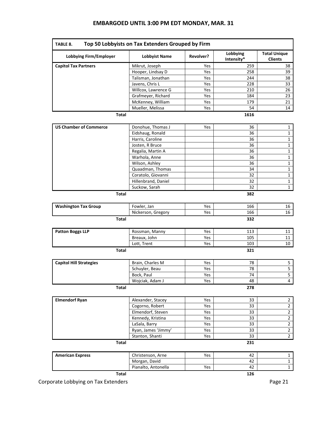#### **EMBARGOED UNTIL 3:00 PM EDT MONDAY, MAR. 31**

| Top 50 Lobbyists on Tax Extenders Grouped by Firm<br>TABLE 8. |                      |           |                        |                                       |  |  |  |
|---------------------------------------------------------------|----------------------|-----------|------------------------|---------------------------------------|--|--|--|
| <b>Lobbying Firm/Employer</b>                                 | <b>Lobbyist Name</b> | Revolver? | Lobbying<br>Intensity* | <b>Total Unique</b><br><b>Clients</b> |  |  |  |
| <b>Capitol Tax Partners</b>                                   | Mikrut, Joseph       | Yes       | 259                    | 38                                    |  |  |  |
|                                                               | Hooper, Lindsay D    | Yes       | 258                    | 39                                    |  |  |  |
|                                                               | Talisman, Jonathan   | Yes       | 244                    | 38                                    |  |  |  |
|                                                               | Javens, Chris L      | Yes       | 228                    | 33                                    |  |  |  |
|                                                               | Willcox, Lawrence G  | Yes       | 210                    | 26                                    |  |  |  |
|                                                               | Grafmeyer, Richard   | Yes       | 184                    | 23                                    |  |  |  |
|                                                               | McKenney, William    | Yes       | 179                    | 21                                    |  |  |  |
|                                                               | Mueller, Melissa     | Yes       | 54                     | 14                                    |  |  |  |
| <b>Total</b>                                                  |                      |           | 1616                   |                                       |  |  |  |
| <b>US Chamber of Commerce</b>                                 | Donohue, Thomas J    | Yes       | 36                     | $\mathbf{1}$                          |  |  |  |
|                                                               | Eidshaug, Ronald     |           | 36                     | $\mathbf 1$                           |  |  |  |
|                                                               | Harris, Caroline     |           | 36                     | $\mathbf 1$                           |  |  |  |
|                                                               | Josten, R Bruce      |           | 36                     | $\mathbf 1$                           |  |  |  |
|                                                               | Regalia, Martin A    |           | 36                     | $\mathbf{1}$                          |  |  |  |
|                                                               | Warhola, Anne        |           | 36                     | $\mathbf{1}$                          |  |  |  |
|                                                               | Wilson, Ashley       |           | 36                     | $\mathbf{1}$                          |  |  |  |
|                                                               | Quaadman, Thomas     |           | 34                     | $\mathbf{1}$                          |  |  |  |
|                                                               | Coratolo, Giovanni   |           | 32                     | $\mathbf 1$                           |  |  |  |
|                                                               | Hillenbrand, Daniel  |           | 32                     | $\mathbf{1}$                          |  |  |  |
|                                                               | Suckow, Sarah        |           | 32                     | $\mathbf{1}$                          |  |  |  |
| <b>Total</b>                                                  |                      |           | 382                    |                                       |  |  |  |
| <b>Washington Tax Group</b>                                   | Fowler, Jan          | Yes       | 166                    | 16                                    |  |  |  |
|                                                               | Nickerson, Gregory   | Yes       | 166                    | 16                                    |  |  |  |
| <b>Total</b>                                                  |                      |           | 332                    |                                       |  |  |  |
| <b>Patton Boggs LLP</b>                                       | Rossman, Manny       | Yes       | 113                    | 11                                    |  |  |  |
|                                                               | Breaux, John         | Yes       | 105                    | 11                                    |  |  |  |
|                                                               | Lott, Trent          | Yes       | 103                    | 10                                    |  |  |  |
| <b>Total</b>                                                  |                      |           | 321                    |                                       |  |  |  |
| <b>Capitol Hill Strategies</b>                                | Brain, Charles M     | Yes       | 78                     | 5                                     |  |  |  |
|                                                               | Schuyler, Beau       | Yes       | 78                     | 5                                     |  |  |  |
|                                                               | Bock, Paul           | Yes       | 74                     | $\overline{5}$                        |  |  |  |
|                                                               | Wojciak, Adam J      | Yes       | 48                     | $\overline{4}$                        |  |  |  |
| <b>Total</b>                                                  |                      |           | 278                    |                                       |  |  |  |
| <b>Elmendorf Ryan</b>                                         | Alexander, Stacey    | Yes       | 33                     | $\overline{2}$                        |  |  |  |
|                                                               | Cogorno, Robert      | Yes       | 33                     | $\overline{2}$                        |  |  |  |
|                                                               | Elmendorf, Steven    | Yes       | 33                     | $\overline{2}$                        |  |  |  |
|                                                               | Kennedy, Kristina    | Yes       | 33                     | $\mathbf 2$                           |  |  |  |
|                                                               | LaSala, Barry        | Yes       | 33                     | $\overline{2}$                        |  |  |  |
|                                                               | Ryan, James 'Jimmy'  | Yes       | 33                     | $\mathbf{2}$                          |  |  |  |
|                                                               | Stanton, Shanti      | Yes       | 33                     | $\overline{2}$                        |  |  |  |
| Total                                                         |                      |           | 231                    |                                       |  |  |  |
| <b>American Express</b>                                       | Christenson, Arne    | Yes       | 42                     | $\mathbf{1}$                          |  |  |  |
|                                                               | Morgan, David        |           | 42                     | $\mathbf{1}$                          |  |  |  |
|                                                               | Pianalto, Antonella  | Yes       | 42                     | $\mathbf 1$                           |  |  |  |
| <b>Total</b>                                                  |                      |           | 126                    |                                       |  |  |  |

Corporate Lobbying on Tax Extenders **Page 21 Page 21**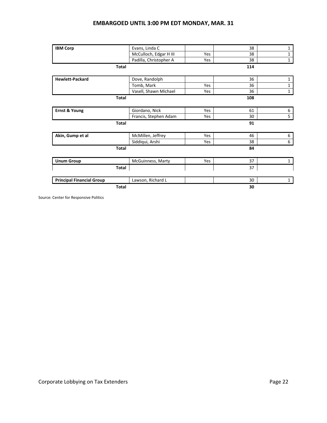#### **EMBARGOED UNTIL 3:00 PM EDT MONDAY, MAR. 31**

| <b>IBM Corp</b>                  | Evans, Linda C         |     | 38  | 1            |
|----------------------------------|------------------------|-----|-----|--------------|
|                                  | McCulloch, Edgar H III | Yes | 38  | $\mathbf{1}$ |
|                                  | Padilla, Christopher A | Yes | 38  | $\mathbf{1}$ |
|                                  | <b>Total</b>           |     | 114 |              |
|                                  |                        |     |     |              |
| <b>Hewlett-Packard</b>           | Dove, Randolph         |     | 36  | 1            |
|                                  | Tomb, Mark             | Yes | 36  | 1            |
|                                  | Vasell, Shawn Michael  | Yes | 36  | $\mathbf{1}$ |
|                                  | Total                  |     | 108 |              |
| <b>Ernst &amp; Young</b>         | Giordano, Nick         | Yes | 61  | 6            |
|                                  | Francis, Stephen Adam  | Yes | 30  | 5            |
|                                  | <b>Total</b>           |     | 91  |              |
| Akin, Gump et al                 | McMillen, Jeffrey      | Yes | 46  | 6            |
|                                  | Siddiqui, Arshi        | Yes | 38  | 6            |
|                                  | <b>Total</b>           |     | 84  |              |
| <b>Unum Group</b>                | McGuinness, Marty      | Yes | 37  | $\mathbf{1}$ |
|                                  | Total                  |     | 37  |              |
| <b>Principal Financial Group</b> | Lawson, Richard L      |     | 30  | 1            |
|                                  | <b>Total</b>           |     | 30  |              |

Source: Center for Responsive Politics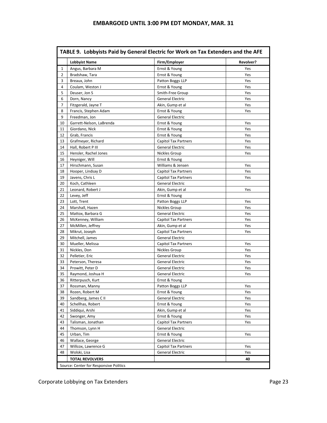| <b>Lobbyist Name</b>                 | Firm/Employer                                                                                                                 | Revolver?                                                                                                              |
|--------------------------------------|-------------------------------------------------------------------------------------------------------------------------------|------------------------------------------------------------------------------------------------------------------------|
| Angus, Barbara M                     | Ernst & Young                                                                                                                 | Yes                                                                                                                    |
| Bradshaw, Tara                       | Ernst & Young                                                                                                                 | Yes                                                                                                                    |
| Breaux, John                         | Patton Boggs LLP                                                                                                              | Yes                                                                                                                    |
| Coulam, Weston J                     | Ernst & Young                                                                                                                 | Yes                                                                                                                    |
| Deuser, Jon S                        | Smith-Free Group                                                                                                              | Yes                                                                                                                    |
| Dorn, Nancy                          | <b>General Electric</b>                                                                                                       | Yes                                                                                                                    |
| Fitzgerald, Jayne T                  | Akin, Gump et al                                                                                                              | Yes                                                                                                                    |
| Francis, Stephen Adam                | Ernst & Young                                                                                                                 | Yes                                                                                                                    |
| Freedman, Jon                        | General Electric                                                                                                              |                                                                                                                        |
| Garrett-Nelson, LaBrenda             | Ernst & Young                                                                                                                 | Yes                                                                                                                    |
| Giordano, Nick                       | Ernst & Young                                                                                                                 | Yes                                                                                                                    |
| Grab, Francis                        | Ernst & Young                                                                                                                 | Yes                                                                                                                    |
| Grafmeyer, Richard                   | <b>Capitol Tax Partners</b>                                                                                                   | Yes                                                                                                                    |
| Hall, Robert P III                   | <b>General Electric</b>                                                                                                       | Yes                                                                                                                    |
| Hensler, Rachel Jones                | Nickles Group                                                                                                                 | Yes                                                                                                                    |
| Heyniger, Will                       | Ernst & Young                                                                                                                 |                                                                                                                        |
| Hirschmann, Susan                    | Williams & Jensen                                                                                                             | Yes                                                                                                                    |
| Hooper, Lindsay D                    | <b>Capitol Tax Partners</b>                                                                                                   | Yes                                                                                                                    |
| Javens, Chris L                      | <b>Capitol Tax Partners</b>                                                                                                   | Yes                                                                                                                    |
| Koch, Cathleen                       | <b>General Electric</b>                                                                                                       |                                                                                                                        |
| Leonard, Robert J                    | Akin, Gump et al                                                                                                              | Yes                                                                                                                    |
| Levey, Jeff                          | Ernst & Young                                                                                                                 |                                                                                                                        |
| Lott, Trent                          | Patton Boggs LLP                                                                                                              | Yes                                                                                                                    |
| Marshall, Hazen                      | Nickles Group                                                                                                                 | Yes                                                                                                                    |
| Mattox, Barbara G                    | General Electric                                                                                                              | Yes                                                                                                                    |
| McKenney, William                    | <b>Capitol Tax Partners</b>                                                                                                   | Yes                                                                                                                    |
| McMillen, Jeffrey                    | Akin, Gump et al                                                                                                              | Yes                                                                                                                    |
| Mikrut, Joseph                       | <b>Capitol Tax Partners</b>                                                                                                   | Yes                                                                                                                    |
| Mitchell, James                      | <b>General Electric</b>                                                                                                       |                                                                                                                        |
| Mueller, Melissa                     | <b>Capitol Tax Partners</b>                                                                                                   | Yes                                                                                                                    |
| Nickles, Don                         | Nickles Group                                                                                                                 |                                                                                                                        |
|                                      | General Electric                                                                                                              | Yes<br>Yes                                                                                                             |
| Pelletier, Eric<br>Peterson, Theresa | <b>General Electric</b>                                                                                                       | Yes                                                                                                                    |
| Prowitt, Peter D                     | General Electric                                                                                                              | Yes                                                                                                                    |
| Raymond, Joshua H                    | General Electric                                                                                                              | Yes                                                                                                                    |
| Ritterpusch, Kurt                    | Ernst & Young                                                                                                                 |                                                                                                                        |
| Rossman, Manny                       | Patton Boggs LLP                                                                                                              | Yes                                                                                                                    |
| Rozen, Robert M                      | Ernst & Young                                                                                                                 | Yes                                                                                                                    |
|                                      |                                                                                                                               |                                                                                                                        |
| Sandberg, James C II                 | General Electric<br>Ernst & Young                                                                                             | Yes                                                                                                                    |
| Schellhas, Robert                    | Akin, Gump et al                                                                                                              | Yes                                                                                                                    |
| Siddiqui, Arshi                      |                                                                                                                               | Yes                                                                                                                    |
| Swonger, Amy                         | Ernst & Young                                                                                                                 | Yes                                                                                                                    |
| Talisman, Jonathan                   | <b>Capitol Tax Partners</b>                                                                                                   | Yes                                                                                                                    |
|                                      |                                                                                                                               |                                                                                                                        |
| Urban, Tim                           |                                                                                                                               | Yes                                                                                                                    |
|                                      |                                                                                                                               |                                                                                                                        |
|                                      |                                                                                                                               | Yes                                                                                                                    |
| Wolski, Lisa                         |                                                                                                                               | Yes<br>40                                                                                                              |
|                                      | Thomson, Lynn H<br>Wallace, George<br>Willcox, Lawrence G<br><b>TOTAL REVOLVERS</b><br>Source: Center for Responsive Politics | <b>General Electric</b><br>Ernst & Young<br><b>General Electric</b><br><b>Capitol Tax Partners</b><br>General Electric |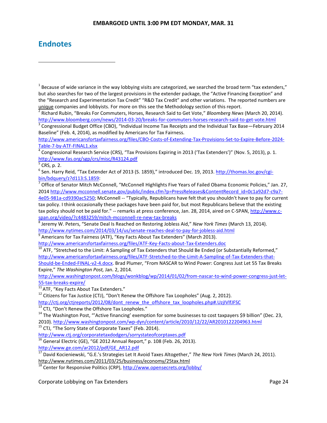# **Endnotes**

 $\overline{a}$ 

[http://www.washingtonpost.com/blogs/wonkblog/wp/2014/01/02/from-nascar-to-wind-power-congress-just-let-](http://www.washingtonpost.com/blogs/wonkblog/wp/2014/01/02/from-nascar-to-wind-power-congress-just-let-55-tax-breaks-expire/)[55-tax-breaks-expire/](http://www.washingtonpost.com/blogs/wonkblog/wp/2014/01/02/from-nascar-to-wind-power-congress-just-let-55-tax-breaks-expire/)

 $\frac{11}{11}$ ATF, "Key Facts About Tax Extenders."

 $12$  Citizens for Tax Justice (CTJ), "Don't Renew the Offshore Tax Loopholes" (Aug. 2, 2012). [http://ctj.org/ctjreports/2012/08/dont\\_renew\\_the\\_offshore\\_tax\\_loopholes.php#.UzjIVlfJFSC](http://ctj.org/ctjreports/2012/08/dont_renew_the_offshore_tax_loopholes.php#.UzjIVlfJFSC)

 $\frac{13}{13}$  CTJ, "Don't Renew the Offshore Tax Loopholes."

<sup>15</sup> CTJ, "The Sorry State of Corporate Taxes" (Feb. 2014).

<http://www.ctj.org/corporatetaxdodgers/sorrystateofcorptaxes.pdf>

<sup>16</sup> General Electric (GE), "GE 2012 Annual Report," p. 108 (Feb. 26, 2013). [http://www.ge.com/ar2012/pdf/GE\\_AR12.pdf](http://www.ge.com/ar2012/pdf/GE_AR12.pdf)

<sup>17</sup> David Kocieniewski, "G.E.'s Strategies Let It Avoid Taxes Altogether," *The New York Times* (March 24, 2011). <http://www.nytimes.com/2011/03/25/business/economy/25tax.html>

<sup>18</sup> Center for Responsive Politics (CRP),<http://www.opensecrets.org/lobby/>

Corporate Lobbying on Tax Extenders **Page 24** and 20 and 20 and 20 and 20 and 20 and 20 and 20 and 20 and 20 and 20 and 20 and 20 and 20 and 20 and 20 and 20 and 20 and 20 and 20 and 20 and 20 and 20 and 20 and 20 and 20 a

 $^1$  Because of wide variance in the way lobbying visits are categorized, we searched the broad term "tax extenders," but also searches for two of the largest provisions in the extender package, the "Active Financing Exception" and the "Research and Experimentation Tax Credit" "R&D Tax Credit" and other variations. The reported numbers are unique companies and lobbyists. For more on this see the Methodology section of this report.

<sup>2</sup> Richard Rubin, "Breaks For Commuters, Horses, Research Said to Get Vote," *Bloomberg News* (March 20, 2014). <http://www.bloomberg.com/news/2014-03-20/breaks-for-commuters-horses-research-said-to-get-vote.html>

 $^3$  Congressional Budget Office (CBO), "Individual Income Tax Receipts and the Individual Tax Base—February 2014 Baseline" (Feb. 4, 2014), as modified by Americans for Tax Fairness.

[http://www.americansfortaxfairness.org/files/CBO-Costs-of-Extending-Tax-Provisions-Set-to-Expire-Before-2024-](http://www.americansfortaxfairness.org/files/CBO-Costs-of-Extending-Tax-Provisions-Set-to-Expire-Before-2024-Table-7-by-ATF-FINAL1.xlsx) [Table-7-by-ATF-FINAL1.xlsx](http://www.americansfortaxfairness.org/files/CBO-Costs-of-Extending-Tax-Provisions-Set-to-Expire-Before-2024-Table-7-by-ATF-FINAL1.xlsx)

<sup>&</sup>lt;sup>4</sup> Congressional Research Service (CRS), "Tax Provisions Expiring in 2013 ('Tax Extenders')" (Nov. 5, 2013), p. 1. <http://www.fas.org/sgp/crs/misc/R43124.pdf>

<sup>5</sup> CRS, p. 2.

<sup>&</sup>lt;sup>6</sup> Sen. Harry Reid, "Tax Extender Act of 2013 (S. 1859)," introduced Dec. 19, 2013. <u>http://thomas.loc.gov/cgi-</u> [bin/bdquery/z?d113:S.1859:](http://thomas.loc.gov/cgi-bin/bdquery/z?d113:S.1859)

<sup>&</sup>lt;sup>7</sup> Office of Senator Mitch McConnell, "McConnell Highlights Five Years of Failed Obama Economic Policies," Jan. 27, 201[4 http://www.mcconnell.senate.gov/public/index.cfm?p=PressReleases&ContentRecord\\_id=0c1a92d7-c9a7-](http://www.mcconnell.senate.gov/public/index.cfm?p=PressReleases&ContentRecord_id=0c1a92d7-c9a7-4e05-981a-cd9390ac5250) [4e05-981a-cd9390ac5250;](http://www.mcconnell.senate.gov/public/index.cfm?p=PressReleases&ContentRecord_id=0c1a92d7-c9a7-4e05-981a-cd9390ac5250) McConnell -- "Typically, Republicans have felt that you shouldn't have to pay for current tax policy. I think occasionally these packages have been paid for, but most Republicans believe that the existing tax policy should not be paid for." -- remarks at press conference, Jan. 28, 2014, aired on C-SPAN, [http://www.c](http://www.c-span.org/video/?c4483259/mitch-mcconnell-re-new-tax-breaks)[span.org/video/?c4483259/mitch-mcconnell-re-new-tax-breaks](http://www.c-span.org/video/?c4483259/mitch-mcconnell-re-new-tax-breaks)

<sup>8</sup> Jeremy W. Peters, "Senate Deal Is Reached on Restoring Jobless Aid," *New York Times* (March 13, 2014). <http://www.nytimes.com/2014/03/14/us/senate-reaches-deal-to-pay-for-jobless-aid.html>

 $^9$  Americans for Tax Fairness (ATF), "Key Facts About Tax Extenders" (March 2013).

<http://www.americansfortaxfairness.org/files/ATF-Key-Facts-about-Tax-Extenders.doc>

 $\frac{10}{10}$  ATF, "Stretched to the Limit: A Sampling of Tax Extenders that Should Be Ended (or Substantially Reformed," [http://www.americansfortaxfairness.org/files/ATF-Stretched-to-the-Limit-A-Sampling-of-Tax-Extenders-that-](http://www.americansfortaxfairness.org/files/ATF-Stretched-to-the-Limit-A-Sampling-of-Tax-Extenders-that-Should-be-Ended-FINAL-v2-4.docx)

[Should-be-Ended-FINAL-v2-4.docx](http://www.americansfortaxfairness.org/files/ATF-Stretched-to-the-Limit-A-Sampling-of-Tax-Extenders-that-Should-be-Ended-FINAL-v2-4.docx). Brad Plumer, "From NASCAR to Wind Power: Congress Just Let 55 Tax Breaks Expire," *The Washington Post,* Jan. 2, 2014.

 $14$  The Washington Post, "'Active financing' exemption for some businesses to cost taxpayers \$9 billion" (Dec. 23, 2010).<http://www.washingtonpost.com/wp-dyn/content/article/2010/12/22/AR2010122204963.html>